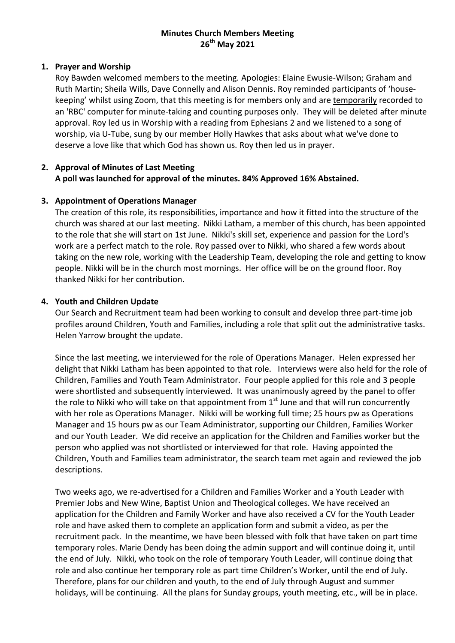## **Minutes Church Members Meeting 26th May 2021**

#### **1. Prayer and Worship**

Roy Bawden welcomed members to the meeting. Apologies: Elaine Ewusie-Wilson; Graham and Ruth Martin; Sheila Wills, Dave Connelly and Alison Dennis. Roy reminded participants of 'housekeeping' whilst using Zoom, that this meeting is for members only and are temporarily recorded to an 'RBC' computer for minute-taking and counting purposes only. They will be deleted after minute approval. Roy led us in Worship with a reading from Ephesians 2 and we listened to a song of worship, via U-Tube, sung by our member Holly Hawkes that asks about what we've done to deserve a love like that which God has shown us. Roy then led us in prayer.

## **2. Approval of Minutes of Last Meeting A poll was launched for approval of the minutes. 84% Approved 16% Abstained.**

#### **3. Appointment of Operations Manager**

The creation of this role, its responsibilities, importance and how it fitted into the structure of the church was shared at our last meeting. Nikki Latham, a member of this church, has been appointed to the role that she will start on 1st June. Nikki's skill set, experience and passion for the Lord's work are a perfect match to the role. Roy passed over to Nikki, who shared a few words about taking on the new role, working with the Leadership Team, developing the role and getting to know people. Nikki will be in the church most mornings. Her office will be on the ground floor. Roy thanked Nikki for her contribution.

## **4. Youth and Children Update**

Our Search and Recruitment team had been working to consult and develop three part-time job profiles around Children, Youth and Families, including a role that split out the administrative tasks. Helen Yarrow brought the update.

Since the last meeting, we interviewed for the role of Operations Manager. Helen expressed her delight that Nikki Latham has been appointed to that role. Interviews were also held for the role of Children, Families and Youth Team Administrator. Four people applied for this role and 3 people were shortlisted and subsequently interviewed. It was unanimously agreed by the panel to offer the role to Nikki who will take on that appointment from  $1<sup>st</sup>$  June and that will run concurrently with her role as Operations Manager. Nikki will be working full time; 25 hours pw as Operations Manager and 15 hours pw as our Team Administrator, supporting our Children, Families Worker and our Youth Leader. We did receive an application for the Children and Families worker but the person who applied was not shortlisted or interviewed for that role. Having appointed the Children, Youth and Families team administrator, the search team met again and reviewed the job descriptions.

Two weeks ago, we re-advertised for a Children and Families Worker and a Youth Leader with Premier Jobs and New Wine, Baptist Union and Theological colleges. We have received an application for the Children and Family Worker and have also received a CV for the Youth Leader role and have asked them to complete an application form and submit a video, as per the recruitment pack. In the meantime, we have been blessed with folk that have taken on part time temporary roles. Marie Dendy has been doing the admin support and will continue doing it, until the end of July. Nikki, who took on the role of temporary Youth Leader, will continue doing that role and also continue her temporary role as part time Children's Worker, until the end of July. Therefore, plans for our children and youth, to the end of July through August and summer holidays, will be continuing. All the plans for Sunday groups, youth meeting, etc., will be in place.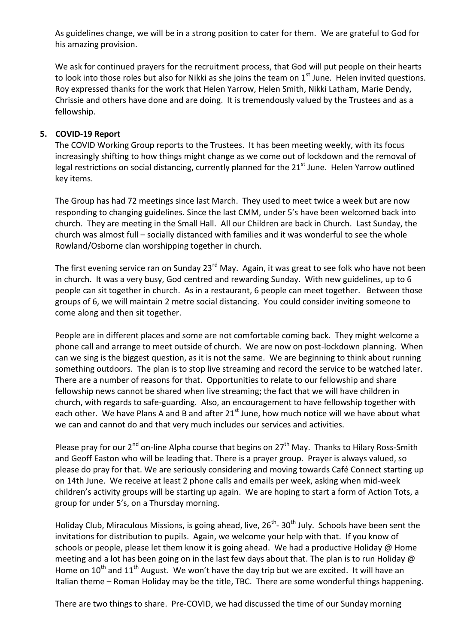As guidelines change, we will be in a strong position to cater for them. We are grateful to God for his amazing provision.

We ask for continued prayers for the recruitment process, that God will put people on their hearts to look into those roles but also for Nikki as she joins the team on  $1<sup>st</sup>$  June. Helen invited questions. Roy expressed thanks for the work that Helen Yarrow, Helen Smith, Nikki Latham, Marie Dendy, Chrissie and others have done and are doing. It is tremendously valued by the Trustees and as a fellowship.

## **5. COVID-19 Report**

The COVID Working Group reports to the Trustees. It has been meeting weekly, with its focus increasingly shifting to how things might change as we come out of lockdown and the removal of legal restrictions on social distancing, currently planned for the 21<sup>st</sup> June. Helen Yarrow outlined key items.

The Group has had 72 meetings since last March. They used to meet twice a week but are now responding to changing guidelines. Since the last CMM, under 5's have been welcomed back into church. They are meeting in the Small Hall. All our Children are back in Church. Last Sunday, the church was almost full – socially distanced with families and it was wonderful to see the whole Rowland/Osborne clan worshipping together in church.

The first evening service ran on Sunday 23<sup>rd</sup> May. Again, it was great to see folk who have not been in church. It was a very busy, God centred and rewarding Sunday. With new guidelines, up to 6 people can sit together in church. As in a restaurant, 6 people can meet together. Between those groups of 6, we will maintain 2 metre social distancing. You could consider inviting someone to come along and then sit together.

People are in different places and some are not comfortable coming back. They might welcome a phone call and arrange to meet outside of church. We are now on post-lockdown planning. When can we sing is the biggest question, as it is not the same. We are beginning to think about running something outdoors. The plan is to stop live streaming and record the service to be watched later. There are a number of reasons for that. Opportunities to relate to our fellowship and share fellowship news cannot be shared when live streaming; the fact that we will have children in church, with regards to safe-guarding. Also, an encouragement to have fellowship together with each other. We have Plans A and B and after  $21<sup>st</sup>$  June, how much notice will we have about what we can and cannot do and that very much includes our services and activities.

Please pray for our  $2^{nd}$  on-line Alpha course that begins on  $27<sup>th</sup>$  May. Thanks to Hilary Ross-Smith and Geoff Easton who will be leading that. There is a prayer group. Prayer is always valued, so please do pray for that. We are seriously considering and moving towards Café Connect starting up on 14th June. We receive at least 2 phone calls and emails per week, asking when mid-week children's activity groups will be starting up again. We are hoping to start a form of Action Tots, a group for under 5's, on a Thursday morning.

Holiday Club, Miraculous Missions, is going ahead, live, 26<sup>th</sup>- 30<sup>th</sup> July. Schools have been sent the invitations for distribution to pupils. Again, we welcome your help with that. If you know of schools or people, please let them know it is going ahead. We had a productive Holiday  $\omega$  Home meeting and a lot has been going on in the last few days about that. The plan is to run Holiday @ Home on  $10^{th}$  and  $11^{th}$  August. We won't have the day trip but we are excited. It will have an Italian theme – Roman Holiday may be the title, TBC. There are some wonderful things happening.

There are two things to share. Pre-COVID, we had discussed the time of our Sunday morning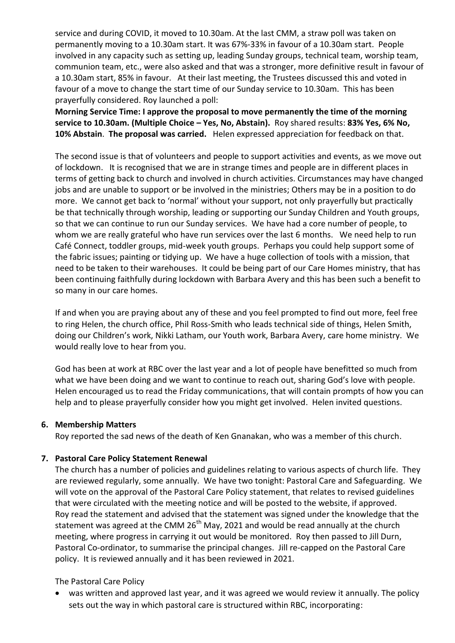service and during COVID, it moved to 10.30am. At the last CMM, a straw poll was taken on permanently moving to a 10.30am start. It was 67%-33% in favour of a 10.30am start. People involved in any capacity such as setting up, leading Sunday groups, technical team, worship team, communion team, etc., were also asked and that was a stronger, more definitive result in favour of a 10.30am start, 85% in favour. At their last meeting, the Trustees discussed this and voted in favour of a move to change the start time of our Sunday service to 10.30am. This has been prayerfully considered. Roy launched a poll:

**Morning Service Time: I approve the proposal to move permanently the time of the morning service to 10.30am. (Multiple Choice – Yes, No, Abstain).** Roy shared results: **83% Yes, 6% No, 10% Abstain**. **The proposal was carried.** Helen expressed appreciation for feedback on that.

The second issue is that of volunteers and people to support activities and events, as we move out of lockdown. It is recognised that we are in strange times and people are in different places in terms of getting back to church and involved in church activities. Circumstances may have changed jobs and are unable to support or be involved in the ministries; Others may be in a position to do more. We cannot get back to 'normal' without your support, not only prayerfully but practically be that technically through worship, leading or supporting our Sunday Children and Youth groups, so that we can continue to run our Sunday services. We have had a core number of people, to whom we are really grateful who have run services over the last 6 months. We need help to run Café Connect, toddler groups, mid-week youth groups. Perhaps you could help support some of the fabric issues; painting or tidying up. We have a huge collection of tools with a mission, that need to be taken to their warehouses. It could be being part of our Care Homes ministry, that has been continuing faithfully during lockdown with Barbara Avery and this has been such a benefit to so many in our care homes.

If and when you are praying about any of these and you feel prompted to find out more, feel free to ring Helen, the church office, Phil Ross-Smith who leads technical side of things, Helen Smith, doing our Children's work, Nikki Latham, our Youth work, Barbara Avery, care home ministry. We would really love to hear from you.

God has been at work at RBC over the last year and a lot of people have benefitted so much from what we have been doing and we want to continue to reach out, sharing God's love with people. Helen encouraged us to read the Friday communications, that will contain prompts of how you can help and to please prayerfully consider how you might get involved. Helen invited questions.

#### **6. Membership Matters**

Roy reported the sad news of the death of Ken Gnanakan, who was a member of this church.

## **7. Pastoral Care Policy Statement Renewal**

The church has a number of policies and guidelines relating to various aspects of church life. They are reviewed regularly, some annually. We have two tonight: Pastoral Care and Safeguarding. We will vote on the approval of the Pastoral Care Policy statement, that relates to revised guidelines that were circulated with the meeting notice and will be posted to the website, if approved. Roy read the statement and advised that the statement was signed under the knowledge that the statement was agreed at the CMM  $26<sup>th</sup>$  May, 2021 and would be read annually at the church meeting, where progress in carrying it out would be monitored. Roy then passed to Jill Durn, Pastoral Co-ordinator, to summarise the principal changes. Jill re-capped on the Pastoral Care policy. It is reviewed annually and it has been reviewed in 2021.

#### The Pastoral Care Policy

 was written and approved last year, and it was agreed we would review it annually. The policy sets out the way in which pastoral care is structured within RBC, incorporating: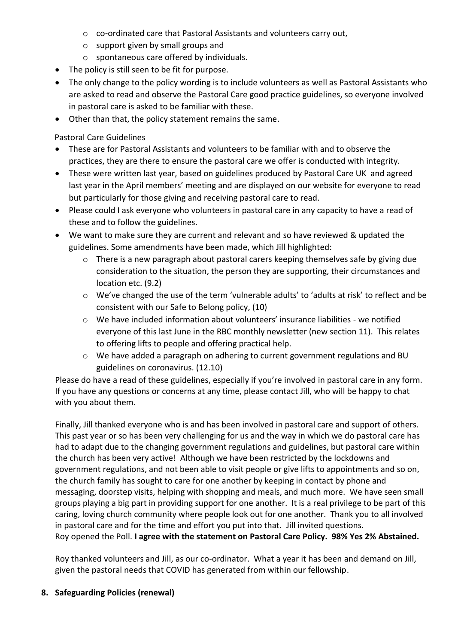- o co-ordinated care that Pastoral Assistants and volunteers carry out,
- o support given by small groups and
- o spontaneous care offered by individuals.
- The policy is still seen to be fit for purpose.
- The only change to the policy wording is to include volunteers as well as Pastoral Assistants who are asked to read and observe the Pastoral Care good practice guidelines, so everyone involved in pastoral care is asked to be familiar with these.
- Other than that, the policy statement remains the same.

Pastoral Care Guidelines

- These are for Pastoral Assistants and volunteers to be familiar with and to observe the practices, they are there to ensure the pastoral care we offer is conducted with integrity.
- These were written last year, based on guidelines produced by Pastoral Care UK and agreed last year in the April members' meeting and are displayed on our website for everyone to read but particularly for those giving and receiving pastoral care to read.
- Please could I ask everyone who volunteers in pastoral care in any capacity to have a read of these and to follow the guidelines.
- We want to make sure they are current and relevant and so have reviewed & updated the guidelines. Some amendments have been made, which Jill highlighted:
	- $\circ$  There is a new paragraph about pastoral carers keeping themselves safe by giving due consideration to the situation, the person they are supporting, their circumstances and location etc. (9.2)
	- o We've changed the use of the term 'vulnerable adults' to 'adults at risk' to reflect and be consistent with our Safe to Belong policy, (10)
	- o We have included information about volunteers' insurance liabilities we notified everyone of this last June in the RBC monthly newsletter (new section 11). This relates to offering lifts to people and offering practical help.
	- $\circ$  We have added a paragraph on adhering to current government regulations and BU guidelines on coronavirus. (12.10)

Please do have a read of these guidelines, especially if you're involved in pastoral care in any form. If you have any questions or concerns at any time, please contact Jill, who will be happy to chat with you about them.

Finally, Jill thanked everyone who is and has been involved in pastoral care and support of others. This past year or so has been very challenging for us and the way in which we do pastoral care has had to adapt due to the changing government regulations and guidelines, but pastoral care within the church has been very active! Although we have been restricted by the lockdowns and government regulations, and not been able to visit people or give lifts to appointments and so on, the church family has sought to care for one another by keeping in contact by phone and messaging, doorstep visits, helping with shopping and meals, and much more. We have seen small groups playing a big part in providing support for one another. It is a real privilege to be part of this caring, loving church community where people look out for one another. Thank you to all involved in pastoral care and for the time and effort you put into that. Jill invited questions. Roy opened the Poll. **I agree with the statement on Pastoral Care Policy. 98% Yes 2% Abstained.** 

Roy thanked volunteers and Jill, as our co-ordinator. What a year it has been and demand on Jill, given the pastoral needs that COVID has generated from within our fellowship.

**8. Safeguarding Policies (renewal)**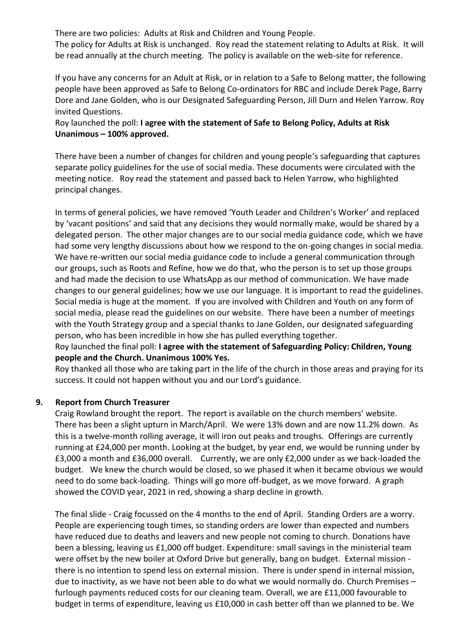There are two policies: Adults at Risk and Children and Young People.

The policy for Adults at Risk is unchanged. Roy read the statement relating to Adults at Risk. It will be read annually at the church meeting. The policy is available on the web-site for reference.

If you have any concerns for an Adult at Risk, or in relation to a Safe to Belong matter, the following people have been approved as Safe to Belong Co-ordinators for RBC and include Derek Page, Barry Dore and Jane Golden, who is our Designated Safeguarding Person, Jill Durn and Helen Yarrow. Roy invited Questions.

Roy launched the poll: **I agree with the statement of Safe to Belong Policy, Adults at Risk Unanimous – 100% approved.** 

There have been a number of changes for children and young people's safeguarding that captures separate policy guidelines for the use of social media. These documents were circulated with the meeting notice. Roy read the statement and passed back to Helen Yarrow, who highlighted principal changes.

In terms of general policies, we have removed 'Youth Leader and Children's Worker' and replaced by 'vacant positions' and said that any decisions they would normally make, would be shared by a delegated person. The other major changes are to our social media guidance code, which we have had some very lengthy discussions about how we respond to the on-going changes in social media. We have re-written our social media guidance code to include a general communication through our groups, such as Roots and Refine, how we do that, who the person is to set up those groups and had made the decision to use WhatsApp as our method of communication. We have made changes to our general guidelines; how we use our language. It is important to read the guidelines. Social media is huge at the moment. If you are involved with Children and Youth on any form of social media, please read the guidelines on our website. There have been a number of meetings with the Youth Strategy group and a special thanks to Jane Golden, our designated safeguarding person, who has been incredible in how she has pulled everything together.

## Roy launched the final poll: **I agree with the statement of Safeguarding Policy: Children, Young people and the Church. Unanimous 100% Yes.**

Roy thanked all those who are taking part in the life of the church in those areas and praying for its success. It could not happen without you and our Lord's guidance.

## **9. Report from Church Treasurer**

Craig Rowland brought the report. The report is available on the church members' website. There has been a slight upturn in March/April. We were 13% down and are now 11.2% down. As this is a twelve-month rolling average, it will iron out peaks and troughs. Offerings are currently running at £24,000 per month. Looking at the budget, by year end, we would be running under by £3,000 a month and £36,000 overall. Currently, we are only £2,000 under as we back-loaded the budget. We knew the church would be closed, so we phased it when it became obvious we would need to do some back-loading. Things will go more off-budget, as we move forward. A graph showed the COVID year, 2021 in red, showing a sharp decline in growth.

The final slide - Craig focussed on the 4 months to the end of April. Standing Orders are a worry. People are experiencing tough times, so standing orders are lower than expected and numbers have reduced due to deaths and leavers and new people not coming to church. Donations have been a blessing, leaving us £1,000 off budget. Expenditure: small savings in the ministerial team were offset by the new boiler at Oxford Drive but generally, bang on budget. External mission there is no intention to spend less on external mission. There is under spend in internal mission, due to inactivity, as we have not been able to do what we would normally do. Church Premises – furlough payments reduced costs for our cleaning team. Overall, we are £11,000 favourable to budget in terms of expenditure, leaving us £10,000 in cash better off than we planned to be. We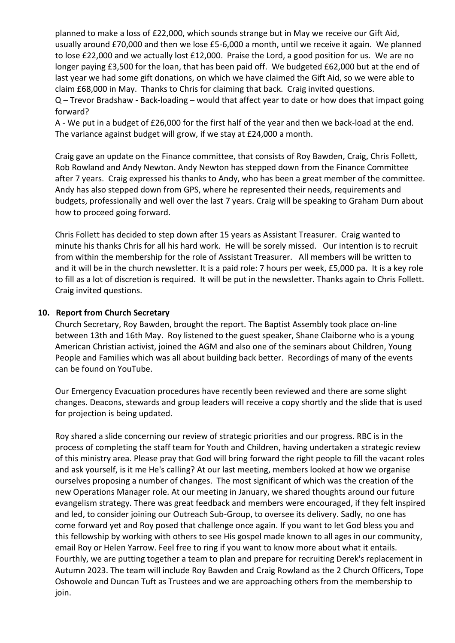planned to make a loss of £22,000, which sounds strange but in May we receive our Gift Aid, usually around £70,000 and then we lose £5-6,000 a month, until we receive it again. We planned to lose £22,000 and we actually lost £12,000. Praise the Lord, a good position for us. We are no longer paying £3,500 for the loan, that has been paid off. We budgeted £62,000 but at the end of last year we had some gift donations, on which we have claimed the Gift Aid, so we were able to claim £68,000 in May. Thanks to Chris for claiming that back. Craig invited questions. Q – Trevor Bradshaw - Back-loading – would that affect year to date or how does that impact going

forward?

A - We put in a budget of £26,000 for the first half of the year and then we back-load at the end. The variance against budget will grow, if we stay at £24,000 a month.

Craig gave an update on the Finance committee, that consists of Roy Bawden, Craig, Chris Follett, Rob Rowland and Andy Newton. Andy Newton has stepped down from the Finance Committee after 7 years. Craig expressed his thanks to Andy, who has been a great member of the committee. Andy has also stepped down from GPS, where he represented their needs, requirements and budgets, professionally and well over the last 7 years. Craig will be speaking to Graham Durn about how to proceed going forward.

Chris Follett has decided to step down after 15 years as Assistant Treasurer. Craig wanted to minute his thanks Chris for all his hard work. He will be sorely missed. Our intention is to recruit from within the membership for the role of Assistant Treasurer. All members will be written to and it will be in the church newsletter. It is a paid role: 7 hours per week, £5,000 pa. It is a key role to fill as a lot of discretion is required. It will be put in the newsletter. Thanks again to Chris Follett. Craig invited questions.

#### **10. Report from Church Secretary**

Church Secretary, Roy Bawden, brought the report. The Baptist Assembly took place on-line between 13th and 16th May. Roy listened to the guest speaker, Shane Claiborne who is a young American Christian activist, joined the AGM and also one of the seminars about Children, Young People and Families which was all about building back better. Recordings of many of the events can be found on YouTube.

Our Emergency Evacuation procedures have recently been reviewed and there are some slight changes. Deacons, stewards and group leaders will receive a copy shortly and the slide that is used for projection is being updated.

Roy shared a slide concerning our review of strategic priorities and our progress. RBC is in the process of completing the staff team for Youth and Children, having undertaken a strategic review of this ministry area. Please pray that God will bring forward the right people to fill the vacant roles and ask yourself, is it me He's calling? At our last meeting, members looked at how we organise ourselves proposing a number of changes. The most significant of which was the creation of the new Operations Manager role. At our meeting in January, we shared thoughts around our future evangelism strategy. There was great feedback and members were encouraged, if they felt inspired and led, to consider joining our Outreach Sub-Group, to oversee its delivery. Sadly, no one has come forward yet and Roy posed that challenge once again. If you want to let God bless you and this fellowship by working with others to see His gospel made known to all ages in our community, email Roy or Helen Yarrow. Feel free to ring if you want to know more about what it entails. Fourthly, we are putting together a team to plan and prepare for recruiting Derek's replacement in Autumn 2023. The team will include Roy Bawden and Craig Rowland as the 2 Church Officers, Tope Oshowole and Duncan Tuft as Trustees and we are approaching others from the membership to join.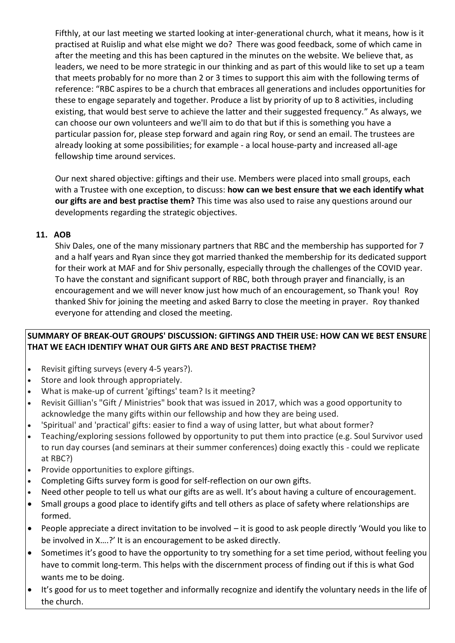Fifthly, at our last meeting we started looking at inter-generational church, what it means, how is it practised at Ruislip and what else might we do? There was good feedback, some of which came in after the meeting and this has been captured in the minutes on the website. We believe that, as leaders, we need to be more strategic in our thinking and as part of this would like to set up a team that meets probably for no more than 2 or 3 times to support this aim with the following terms of reference: "RBC aspires to be a church that embraces all generations and includes opportunities for these to engage separately and together. Produce a list by priority of up to 8 activities, including existing, that would best serve to achieve the latter and their suggested frequency." As always, we can choose our own volunteers and we'll aim to do that but if this is something you have a particular passion for, please step forward and again ring Roy, or send an email. The trustees are already looking at some possibilities; for example - a local house-party and increased all-age fellowship time around services.

Our next shared objective: giftings and their use. Members were placed into small groups, each with a Trustee with one exception, to discuss: **how can we best ensure that we each identify what our gifts are and best practise them?** This time was also used to raise any questions around our developments regarding the strategic objectives.

## **11. AOB**

Shiv Dales, one of the many missionary partners that RBC and the membership has supported for 7 and a half years and Ryan since they got married thanked the membership for its dedicated support for their work at MAF and for Shiv personally, especially through the challenges of the COVID year. To have the constant and significant support of RBC, both through prayer and financially, is an encouragement and we will never know just how much of an encouragement, so Thank you! Roy thanked Shiv for joining the meeting and asked Barry to close the meeting in prayer. Roy thanked everyone for attending and closed the meeting.

# **SUMMARY OF BREAK-OUT GROUPS' DISCUSSION: GIFTINGS AND THEIR USE: HOW CAN WE BEST ENSURE THAT WE EACH IDENTIFY WHAT OUR GIFTS ARE AND BEST PRACTISE THEM?**

- Revisit gifting surveys (every 4-5 years?).
- Store and look through appropriately.
- What is make-up of current 'giftings' team? Is it meeting?
- Revisit Gillian's "Gift / Ministries" book that was issued in 2017, which was a good opportunity to acknowledge the many gifts within our fellowship and how they are being used.
- 'Spiritual' and 'practical' gifts: easier to find a way of using latter, but what about former?
- Teaching/exploring sessions followed by opportunity to put them into practice (e.g. Soul Survivor used to run day courses (and seminars at their summer conferences) doing exactly this - could we replicate at RBC?)
- Provide opportunities to explore giftings.
- Completing Gifts survey form is good for self-reflection on our own gifts.
- Need other people to tell us what our gifts are as well. It's about having a culture of encouragement.
- Small groups a good place to identify gifts and tell others as place of safety where relationships are formed.
- People appreciate a direct invitation to be involved it is good to ask people directly 'Would you like to be involved in X….?' It is an encouragement to be asked directly.
- Sometimes it's good to have the opportunity to try something for a set time period, without feeling you have to commit long-term. This helps with the discernment process of finding out if this is what God wants me to be doing.
- It's good for us to meet together and informally recognize and identify the voluntary needs in the life of the church.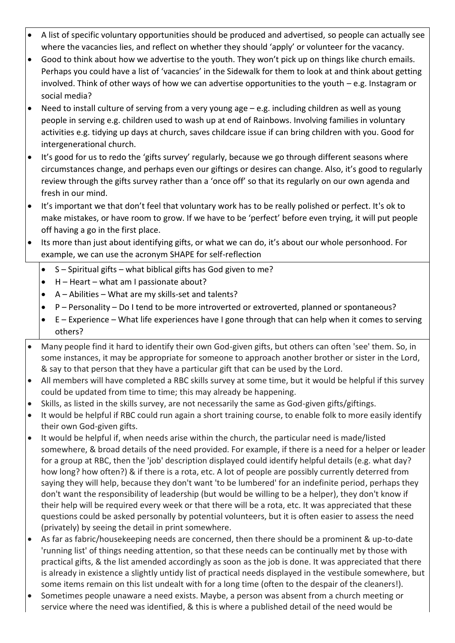- A list of specific voluntary opportunities should be produced and advertised, so people can actually see where the vacancies lies, and reflect on whether they should 'apply' or volunteer for the vacancy.
- Good to think about how we advertise to the youth. They won't pick up on things like church emails. Perhaps you could have a list of 'vacancies' in the Sidewalk for them to look at and think about getting involved. Think of other ways of how we can advertise opportunities to the youth – e.g. Instagram or social media?
- $\bullet$  Need to install culture of serving from a very young age  $-e.g.$  including children as well as young people in serving e.g. children used to wash up at end of Rainbows. Involving families in voluntary activities e.g. tidying up days at church, saves childcare issue if can bring children with you. Good for intergenerational church.
- It's good for us to redo the 'gifts survey' regularly, because we go through different seasons where circumstances change, and perhaps even our giftings or desires can change. Also, it's good to regularly review through the gifts survey rather than a 'once off' so that its regularly on our own agenda and fresh in our mind.
- It's important we that don't feel that voluntary work has to be really polished or perfect. It's ok to make mistakes, or have room to grow. If we have to be 'perfect' before even trying, it will put people off having a go in the first place.
- Its more than just about identifying gifts, or what we can do, it's about our whole personhood. For example, we can use the acronym SHAPE for self-reflection
	- $\bullet$  S Spiritual gifts what biblical gifts has God given to me?
	- $\bullet$  H Heart what am I passionate about?
	- A Abilities What are my skills-set and talents?
	- P Personality Do I tend to be more introverted or extroverted, planned or spontaneous?
	- E Experience What life experiences have I gone through that can help when it comes to serving others?
- Many people find it hard to identify their own God-given gifts, but others can often 'see' them. So, in some instances, it may be appropriate for someone to approach another brother or sister in the Lord, & say to that person that they have a particular gift that can be used by the Lord.
- All members will have completed a RBC skills survey at some time, but it would be helpful if this survey could be updated from time to time; this may already be happening.
- Skills, as listed in the skills survey, are not necessarily the same as God-given gifts/giftings.
- It would be helpful if RBC could run again a short training course, to enable folk to more easily identify their own God-given gifts.
- It would be helpful if, when needs arise within the church, the particular need is made/listed somewhere, & broad details of the need provided. For example, if there is a need for a helper or leader for a group at RBC, then the 'job' description displayed could identify helpful details (e.g. what day? how long? how often?) & if there is a rota, etc. A lot of people are possibly currently deterred from saying they will help, because they don't want 'to be lumbered' for an indefinite period, perhaps they don't want the responsibility of leadership (but would be willing to be a helper), they don't know if their help will be required every week or that there will be a rota, etc. It was appreciated that these questions could be asked personally by potential volunteers, but it is often easier to assess the need (privately) by seeing the detail in print somewhere.
- As far as fabric/housekeeping needs are concerned, then there should be a prominent & up-to-date 'running list' of things needing attention, so that these needs can be continually met by those with practical gifts, & the list amended accordingly as soon as the job is done. It was appreciated that there is already in existence a slightly untidy list of practical needs displayed in the vestibule somewhere, but some items remain on this list undealt with for a long time (often to the despair of the cleaners!).
- Sometimes people unaware a need exists. Maybe, a person was absent from a church meeting or service where the need was identified, & this is where a published detail of the need would be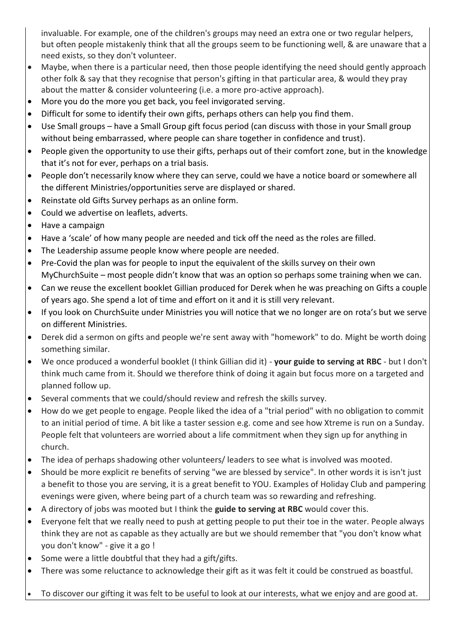invaluable. For example, one of the children's groups may need an extra one or two regular helpers, but often people mistakenly think that all the groups seem to be functioning well, & are unaware that a need exists, so they don't volunteer.

- Maybe, when there is a particular need, then those people identifying the need should gently approach other folk & say that they recognise that person's gifting in that particular area, & would they pray about the matter & consider volunteering (i.e. a more pro-active approach).
- More you do the more you get back, you feel invigorated serving.
- Difficult for some to identify their own gifts, perhaps others can help you find them.
- Use Small groups have a Small Group gift focus period (can discuss with those in your Small group without being embarrassed, where people can share together in confidence and trust).
- People given the opportunity to use their gifts, perhaps out of their comfort zone, but in the knowledge that it's not for ever, perhaps on a trial basis.
- People don't necessarily know where they can serve, could we have a notice board or somewhere all the different Ministries/opportunities serve are displayed or shared.
- Reinstate old Gifts Survey perhaps as an online form.
- Could we advertise on leaflets, adverts.
- Have a campaign
- Have a 'scale' of how many people are needed and tick off the need as the roles are filled.
- The Leadership assume people know where people are needed.
- Pre-Covid the plan was for people to input the equivalent of the skills survey on their own MyChurchSuite – most people didn't know that was an option so perhaps some training when we can.
- Can we reuse the excellent booklet Gillian produced for Derek when he was preaching on Gifts a couple of years ago. She spend a lot of time and effort on it and it is still very relevant.
- If you look on ChurchSuite under Ministries you will notice that we no longer are on rota's but we serve on different Ministries.
- Derek did a sermon on gifts and people we're sent away with "homework" to do. Might be worth doing something similar.
- We once produced a wonderful booklet (I think Gillian did it) **your guide to serving at RBC** but I don't think much came from it. Should we therefore think of doing it again but focus more on a targeted and planned follow up.
- Several comments that we could/should review and refresh the skills survey.
- How do we get people to engage. People liked the idea of a "trial period" with no obligation to commit to an initial period of time. A bit like a taster session e.g. come and see how Xtreme is run on a Sunday. People felt that volunteers are worried about a life commitment when they sign up for anything in church.
- The idea of perhaps shadowing other volunteers/ leaders to see what is involved was mooted.
- Should be more explicit re benefits of serving "we are blessed by service". In other words it is isn't just a benefit to those you are serving, it is a great benefit to YOU. Examples of Holiday Club and pampering evenings were given, where being part of a church team was so rewarding and refreshing.
- A directory of jobs was mooted but I think the **guide to serving at RBC** would cover this.
- Everyone felt that we really need to push at getting people to put their toe in the water. People always think they are not as capable as they actually are but we should remember that "you don't know what you don't know" - give it a go !
- Some were a little doubtful that they had a gift/gifts.
- There was some reluctance to acknowledge their gift as it was felt it could be construed as boastful.
- To discover our gifting it was felt to be useful to look at our interests, what we enjoy and are good at.